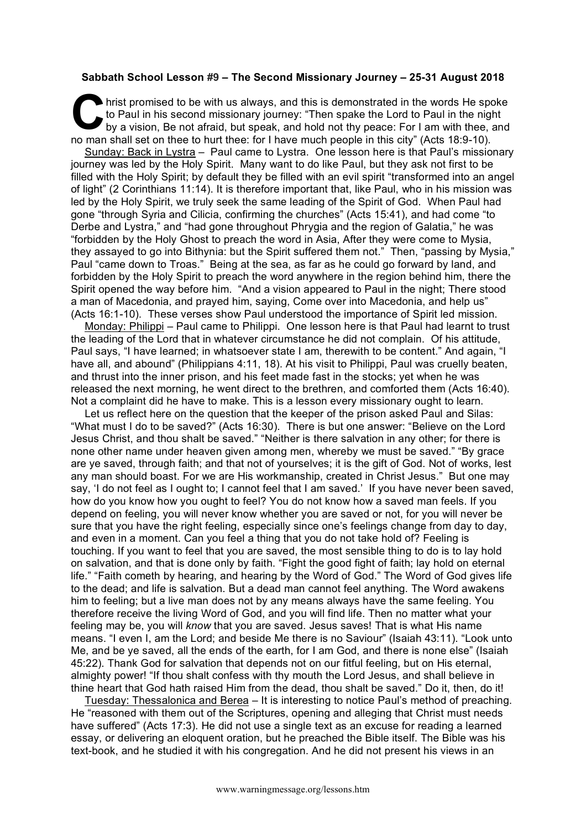## **Sabbath School Lesson #9 – The Second Missionary Journey – 25-31 August 2018**

hrist promised to be with us always, and this is demonstrated in the words He spoke to Paul in his second missionary journey: "Then spake the Lord to Paul in the night by a vision, Be not afraid, but speak, and hold not th to Paul in his second missionary journey: "Then spake the Lord to Paul in the night by a vision, Be not afraid, but speak, and hold not thy peace: For I am with thee, and no man shall set on thee to hurt thee: for I have much people in this city" (Acts 18:9-10). Sunday: Back in Lystra – Paul came to Lystra. One lesson here is that Paul's missionary

journey was led by the Holy Spirit. Many want to do like Paul, but they ask not first to be filled with the Holy Spirit; by default they be filled with an evil spirit "transformed into an angel of light" (2 Corinthians 11:14). It is therefore important that, like Paul, who in his mission was led by the Holy Spirit, we truly seek the same leading of the Spirit of God. When Paul had gone "through Syria and Cilicia, confirming the churches" (Acts 15:41), and had come "to Derbe and Lystra," and "had gone throughout Phrygia and the region of Galatia," he was "forbidden by the Holy Ghost to preach the word in Asia, After they were come to Mysia, they assayed to go into Bithynia: but the Spirit suffered them not." Then, "passing by Mysia," Paul "came down to Troas." Being at the sea, as far as he could go forward by land, and forbidden by the Holy Spirit to preach the word anywhere in the region behind him, there the Spirit opened the way before him. "And a vision appeared to Paul in the night; There stood a man of Macedonia, and prayed him, saying, Come over into Macedonia, and help us" (Acts 16:1-10). These verses show Paul understood the importance of Spirit led mission.

Monday: Philippi – Paul came to Philippi. One lesson here is that Paul had learnt to trust the leading of the Lord that in whatever circumstance he did not complain. Of his attitude, Paul says, "I have learned; in whatsoever state I am, therewith to be content." And again, "I have all, and abound" (Philippians 4:11, 18). At his visit to Philippi, Paul was cruelly beaten, and thrust into the inner prison, and his feet made fast in the stocks; yet when he was released the next morning, he went direct to the brethren, and comforted them (Acts 16:40). Not a complaint did he have to make. This is a lesson every missionary ought to learn.

Let us reflect here on the question that the keeper of the prison asked Paul and Silas: "What must I do to be saved?" (Acts 16:30). There is but one answer: "Believe on the Lord Jesus Christ, and thou shalt be saved." "Neither is there salvation in any other; for there is none other name under heaven given among men, whereby we must be saved." "By grace are ye saved, through faith; and that not of yourselves; it is the gift of God. Not of works, lest any man should boast. For we are His workmanship, created in Christ Jesus." But one may say, 'I do not feel as I ought to; I cannot feel that I am saved.' If you have never been saved, how do you know how you ought to feel? You do not know how a saved man feels. If you depend on feeling, you will never know whether you are saved or not, for you will never be sure that you have the right feeling, especially since one's feelings change from day to day, and even in a moment. Can you feel a thing that you do not take hold of? Feeling is touching. If you want to feel that you are saved, the most sensible thing to do is to lay hold on salvation, and that is done only by faith. "Fight the good fight of faith; lay hold on eternal life." "Faith cometh by hearing, and hearing by the Word of God." The Word of God gives life to the dead; and life is salvation. But a dead man cannot feel anything. The Word awakens him to feeling; but a live man does not by any means always have the same feeling. You therefore receive the living Word of God, and you will find life. Then no matter what your feeling may be, you will *know* that you are saved. Jesus saves! That is what His name means. "I even I, am the Lord; and beside Me there is no Saviour" (Isaiah 43:11). "Look unto Me, and be ye saved, all the ends of the earth, for I am God, and there is none else" (Isaiah 45:22). Thank God for salvation that depends not on our fitful feeling, but on His eternal, almighty power! "If thou shalt confess with thy mouth the Lord Jesus, and shall believe in thine heart that God hath raised Him from the dead, thou shalt be saved." Do it, then, do it!

Tuesday: Thessalonica and Berea – It is interesting to notice Paul's method of preaching. He "reasoned with them out of the Scriptures, opening and alleging that Christ must needs have suffered" (Acts 17:3). He did not use a single text as an excuse for reading a learned essay, or delivering an eloquent oration, but he preached the Bible itself. The Bible was his text-book, and he studied it with his congregation. And he did not present his views in an